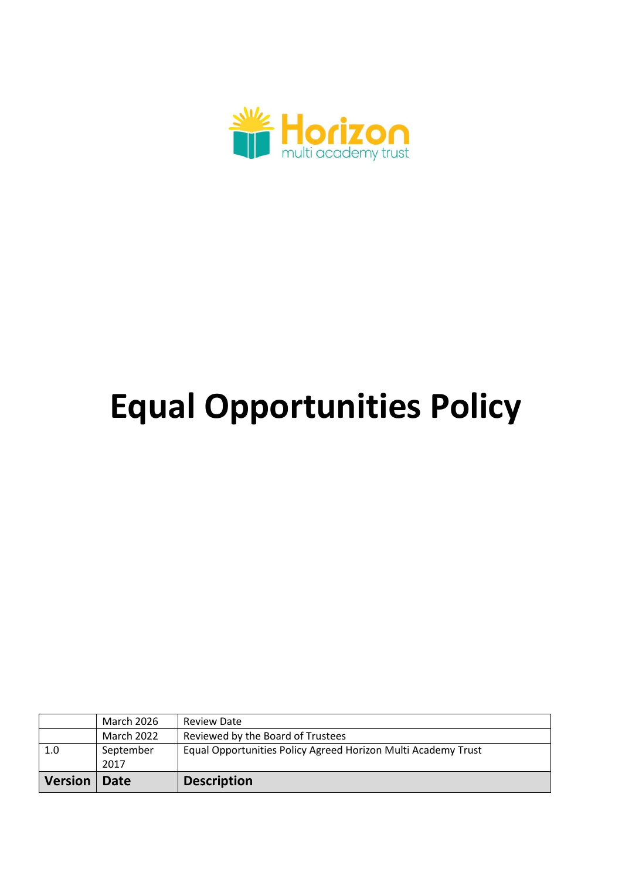

# **Equal Opportunities Policy**

| <b>Version</b> | Date              | <b>Description</b>                                            |
|----------------|-------------------|---------------------------------------------------------------|
|                | 2017              |                                                               |
| 1.0            | September         | Equal Opportunities Policy Agreed Horizon Multi Academy Trust |
|                | March 2022        | Reviewed by the Board of Trustees                             |
|                | <b>March 2026</b> | <b>Review Date</b>                                            |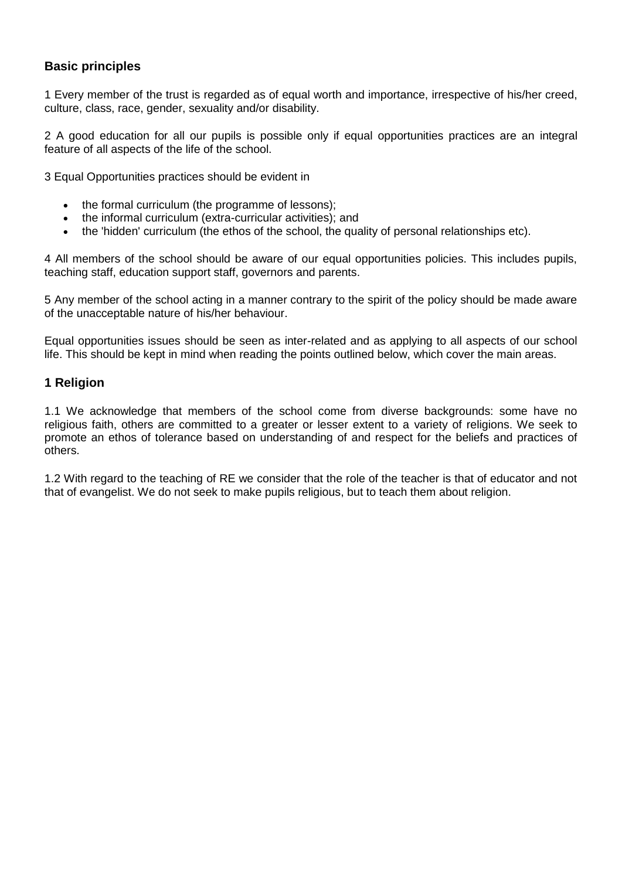## **Basic principles**

1 Every member of the trust is regarded as of equal worth and importance, irrespective of his/her creed, culture, class, race, gender, sexuality and/or disability.

2 A good education for all our pupils is possible only if equal opportunities practices are an integral feature of all aspects of the life of the school.

3 Equal Opportunities practices should be evident in

- the formal curriculum (the programme of lessons);
- the informal curriculum (extra-curricular activities); and
- the 'hidden' curriculum (the ethos of the school, the quality of personal relationships etc).

4 All members of the school should be aware of our equal opportunities policies. This includes pupils, teaching staff, education support staff, governors and parents.

5 Any member of the school acting in a manner contrary to the spirit of the policy should be made aware of the unacceptable nature of his/her behaviour.

Equal opportunities issues should be seen as inter-related and as applying to all aspects of our school life. This should be kept in mind when reading the points outlined below, which cover the main areas.

#### **1 Religion**

1.1 We acknowledge that members of the school come from diverse backgrounds: some have no religious faith, others are committed to a greater or lesser extent to a variety of religions. We seek to promote an ethos of tolerance based on understanding of and respect for the beliefs and practices of others.

1.2 With regard to the teaching of RE we consider that the role of the teacher is that of educator and not that of evangelist. We do not seek to make pupils religious, but to teach them about religion.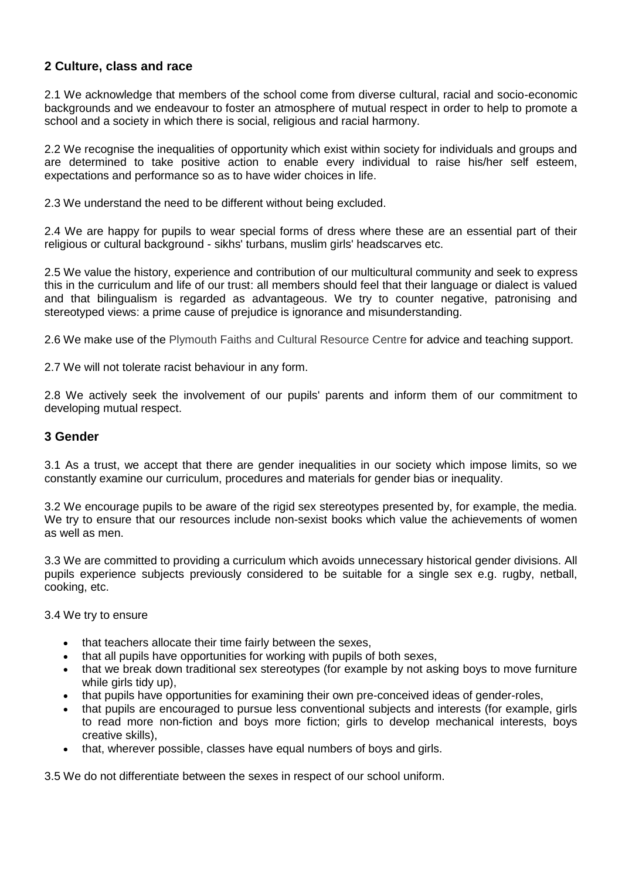## **2 Culture, class and race**

2.1 We acknowledge that members of the school come from diverse cultural, racial and socio-economic backgrounds and we endeavour to foster an atmosphere of mutual respect in order to help to promote a school and a society in which there is social, religious and racial harmony.

2.2 We recognise the inequalities of opportunity which exist within society for individuals and groups and are determined to take positive action to enable every individual to raise his/her self esteem, expectations and performance so as to have wider choices in life.

2.3 We understand the need to be different without being excluded.

2.4 We are happy for pupils to wear special forms of dress where these are an essential part of their religious or cultural background - sikhs' turbans, muslim girls' headscarves etc.

2.5 We value the history, experience and contribution of our multicultural community and seek to express this in the curriculum and life of our trust: all members should feel that their language or dialect is valued and that bilingualism is regarded as advantageous. We try to counter negative, patronising and stereotyped views: a prime cause of prejudice is ignorance and misunderstanding.

2.6 We make use of the Plymouth Faiths and Cultural Resource Centre for advice and teaching support.

2.7 We will not tolerate racist behaviour in any form.

2.8 We actively seek the involvement of our pupils' parents and inform them of our commitment to developing mutual respect.

#### **3 Gender**

3.1 As a trust, we accept that there are gender inequalities in our society which impose limits, so we constantly examine our curriculum, procedures and materials for gender bias or inequality.

3.2 We encourage pupils to be aware of the rigid sex stereotypes presented by, for example, the media. We try to ensure that our resources include non-sexist books which value the achievements of women as well as men.

3.3 We are committed to providing a curriculum which avoids unnecessary historical gender divisions. All pupils experience subjects previously considered to be suitable for a single sex e.g. rugby, netball, cooking, etc.

3.4 We try to ensure

- that teachers allocate their time fairly between the sexes,
- that all pupils have opportunities for working with pupils of both sexes,
- that we break down traditional sex stereotypes (for example by not asking boys to move furniture while girls tidy up).
- that pupils have opportunities for examining their own pre-conceived ideas of gender-roles,
- that pupils are encouraged to pursue less conventional subjects and interests (for example, girls to read more non-fiction and boys more fiction; girls to develop mechanical interests, boys creative skills),
- that, wherever possible, classes have equal numbers of boys and girls.

3.5 We do not differentiate between the sexes in respect of our school uniform.